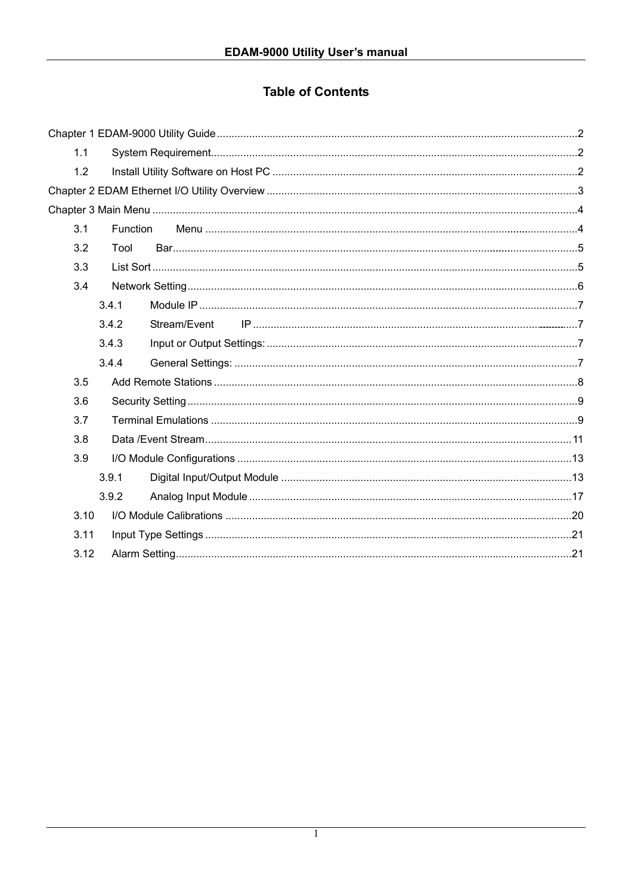# **Table of Contents**

| 1.1  |                       |  |
|------|-----------------------|--|
| 1.2  |                       |  |
|      |                       |  |
|      |                       |  |
| 3.1  | Function              |  |
| 3.2  | Tool                  |  |
| 3.3  |                       |  |
| 3.4  |                       |  |
|      | 3.4.1                 |  |
|      | 3.4.2<br>Stream/Event |  |
|      | 3.4.3                 |  |
|      | 3.4.4                 |  |
| 3.5  |                       |  |
| 3.6  |                       |  |
| 3.7  |                       |  |
| 3.8  |                       |  |
| 3.9  |                       |  |
|      | 3.9.1                 |  |
|      | 3.9.2                 |  |
| 3.10 |                       |  |
| 3.11 |                       |  |
| 3.12 |                       |  |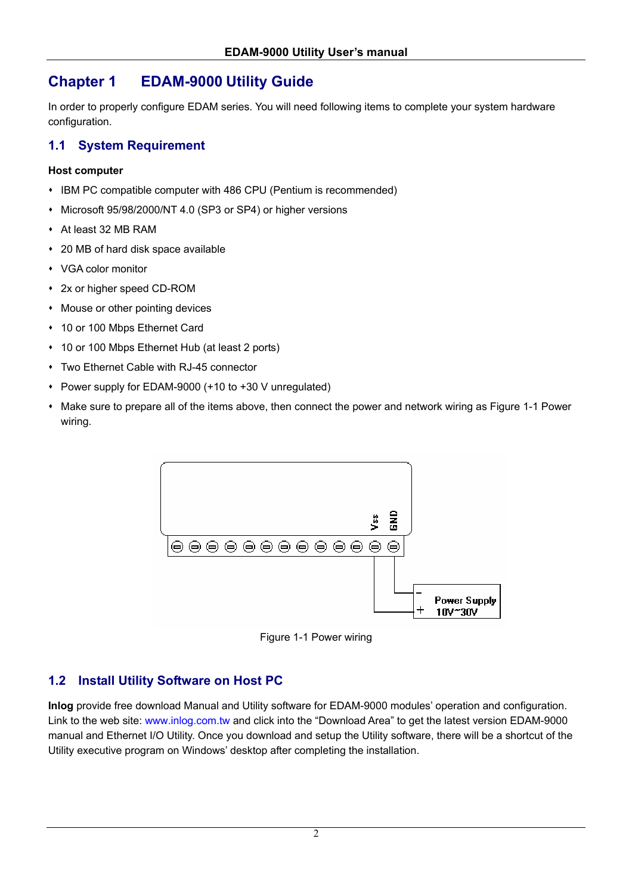# **Chapter 1 EDAM-9000 Utility Guide**

In order to properly configure EDAM series. You will need following items to complete your system hardware configuration.

## **1.1 System Requirement**

#### **Host computer**

- IBM PC compatible computer with 486 CPU (Pentium is recommended)
- Microsoft 95/98/2000/NT 4.0 (SP3 or SP4) or higher versions
- At least 32 MB RAM
- 20 MB of hard disk space available
- VGA color monitor
- 2x or higher speed CD-ROM
- Mouse or other pointing devices
- 10 or 100 Mbps Ethernet Card
- 10 or 100 Mbps Ethernet Hub (at least 2 ports)
- Two Ethernet Cable with RJ-45 connector
- Power supply for EDAM-9000 (+10 to +30 V unregulated)
- Make sure to prepare all of the items above, then connect the power and network wiring as Figure 1-1 Power wiring.



Figure 1-1 Power wiring

# **1.2 Install Utility Software on Host PC**

**Inlog** provide free download Manual and Utility software for EDAM-9000 modules' operation and configuration. Link to the web site: www.inlog.com.tw and click into the "Download Area" to get the latest version EDAM-9000 manual and Ethernet I/O Utility. Once you download and setup the Utility software, there will be a shortcut of the Utility executive program on Windows' desktop after completing the installation.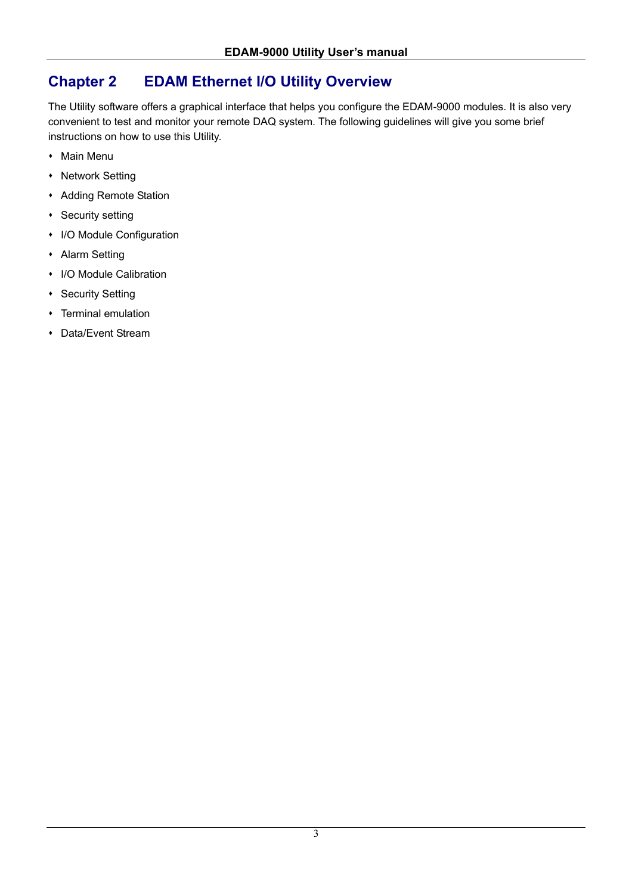# **Chapter 2 EDAM Ethernet I/O Utility Overview**

The Utility software offers a graphical interface that helps you configure the EDAM-9000 modules. It is also very convenient to test and monitor your remote DAQ system. The following guidelines will give you some brief instructions on how to use this Utility.

- Main Menu
- Network Setting
- Adding Remote Station
- **\*** Security setting
- I/O Module Configuration
- Alarm Setting
- I/O Module Calibration
- **\*** Security Setting
- Terminal emulation
- Data/Event Stream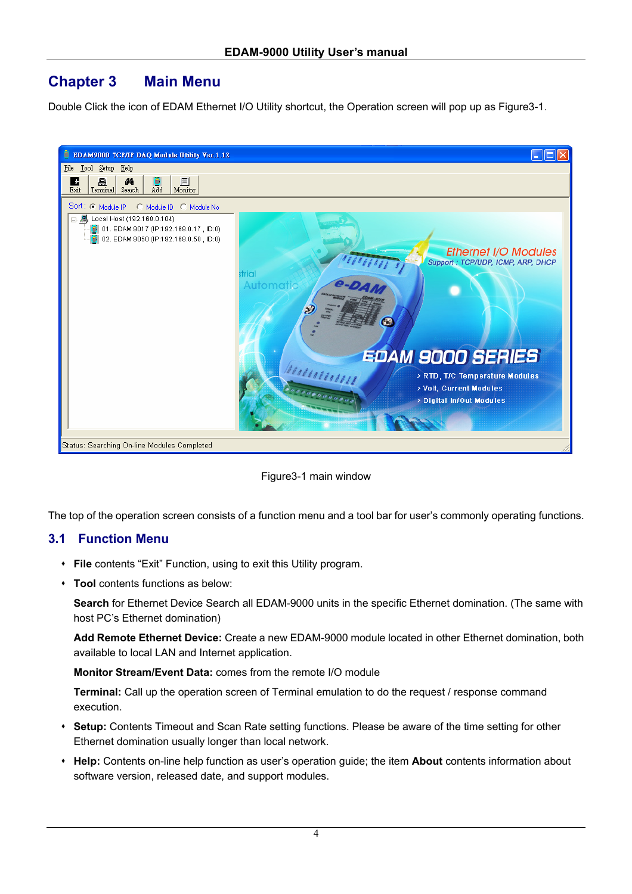# **Chapter 3 Main Menu**

Double Click the icon of EDAM Ethernet I/O Utility shortcut, the Operation screen will pop up as Figure3-1.



Figure3-1 main window

The top of the operation screen consists of a function menu and a tool bar for user's commonly operating functions.

## **3.1 Function Menu**

- **File** contents "Exit" Function, using to exit this Utility program.
- **Tool** contents functions as below:

**Search** for Ethernet Device Search all EDAM-9000 units in the specific Ethernet domination. (The same with host PC's Ethernet domination)

**Add Remote Ethernet Device:** Create a new EDAM-9000 module located in other Ethernet domination, both available to local LAN and Internet application.

**Monitor Stream/Event Data:** comes from the remote I/O module

**Terminal:** Call up the operation screen of Terminal emulation to do the request / response command execution.

- **Setup:** Contents Timeout and Scan Rate setting functions. Please be aware of the time setting for other Ethernet domination usually longer than local network.
- **Help:** Contents on-line help function as user's operation guide; the item **About** contents information about software version, released date, and support modules.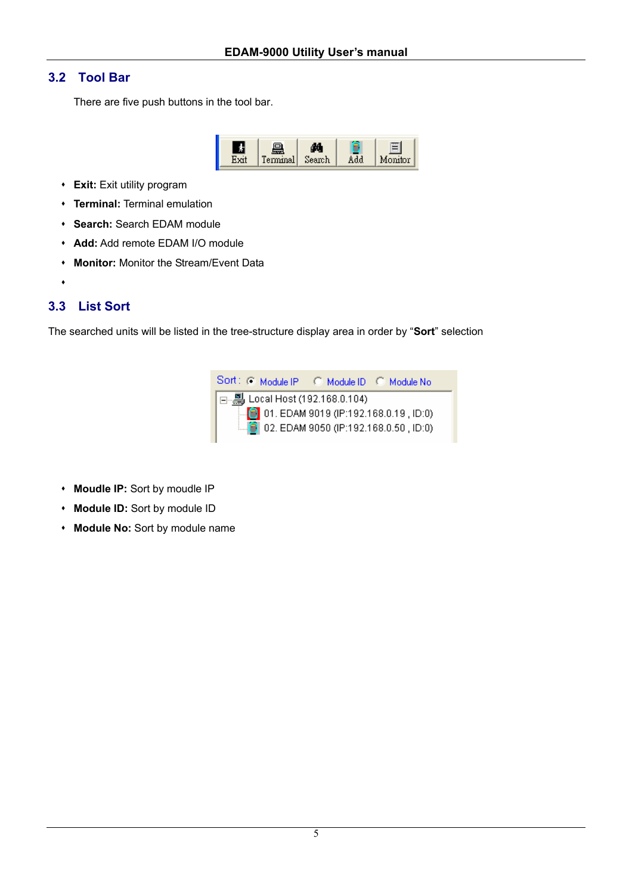## **3.2 Tool Bar**

There are five push buttons in the tool bar.



- **Exit:** Exit utility program
- **Terminal:** Terminal emulation
- **Search:** Search EDAM module
- **Add:** Add remote EDAM I/O module
- **Monitor:** Monitor the Stream/Event Data
- $\bullet$

## **3.3 List Sort**

The searched units will be listed in the tree-structure display area in order by "**Sort**" selection



- **Moudle IP:** Sort by moudle IP
- **Module ID:** Sort by module ID
- **Module No:** Sort by module name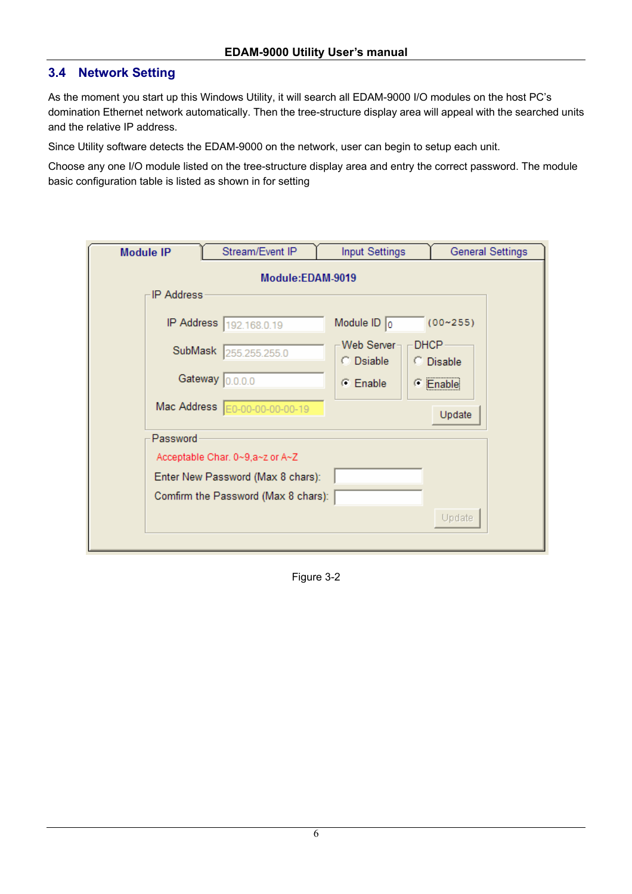## **3.4 Network Setting**

As the moment you start up this Windows Utility, it will search all EDAM-9000 I/O modules on the host PC's domination Ethernet network automatically. Then the tree-structure display area will appeal with the searched units and the relative IP address.

Since Utility software detects the EDAM-9000 on the network, user can begin to setup each unit.

Choose any one I/O module listed on the tree-structure display area and entry the correct password. The module basic configuration table is listed as shown in for setting

| <b>Module IP</b> |                                | Stream/Event IP                     | <b>Input Settings</b>             |                          | <b>General Settings</b> |  |  |  |  |  |  |  |
|------------------|--------------------------------|-------------------------------------|-----------------------------------|--------------------------|-------------------------|--|--|--|--|--|--|--|
|                  | Module:EDAM-9019<br>IP Address |                                     |                                   |                          |                         |  |  |  |  |  |  |  |
|                  |                                | IP Address 192.168.0.19             | Module $ID$ 0                     | $(00 - 255)$             |                         |  |  |  |  |  |  |  |
|                  |                                | SubMask 255.255.255.0               | Web Server-<br>$\bigcirc$ Dsiable | <b>DHCP</b><br>C Disable |                         |  |  |  |  |  |  |  |
|                  |                                | Gateway 0.0.0.0                     | $\subseteq$ Enable                | C Enable                 |                         |  |  |  |  |  |  |  |
|                  |                                | Mac Address E0-00-00-00-00-19       |                                   | Update                   |                         |  |  |  |  |  |  |  |
|                  | Password                       |                                     |                                   |                          |                         |  |  |  |  |  |  |  |
|                  |                                | Acceptable Char. 0~9,a~z or A~Z     |                                   |                          |                         |  |  |  |  |  |  |  |
|                  |                                | Enter New Password (Max 8 chars):   |                                   |                          |                         |  |  |  |  |  |  |  |
|                  |                                | Comfirm the Password (Max 8 chars): |                                   |                          |                         |  |  |  |  |  |  |  |
|                  |                                |                                     |                                   | Update                   |                         |  |  |  |  |  |  |  |

Figure 3-2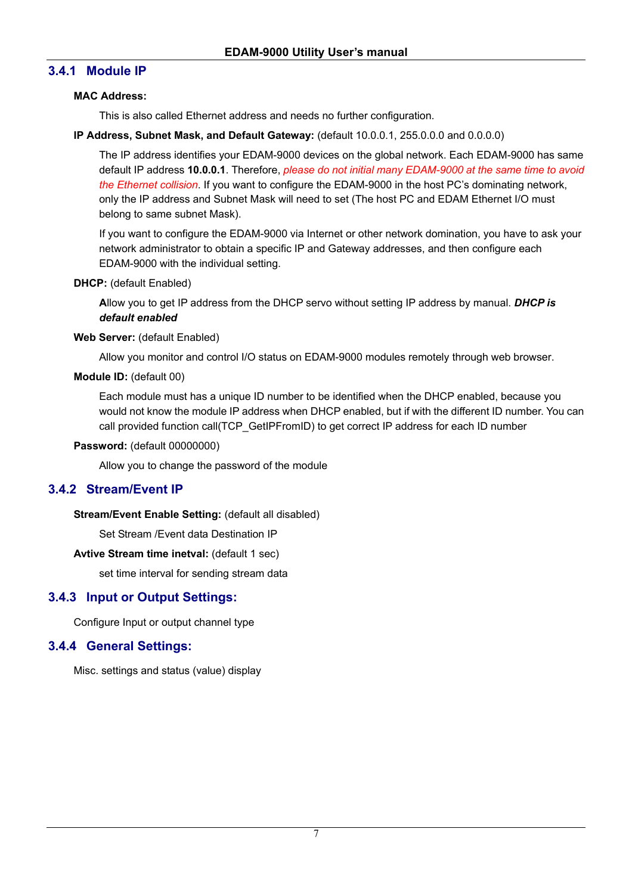## **3.4.1 Module IP**

#### **MAC Address:**

This is also called Ethernet address and needs no further configuration.

#### **IP Address, Subnet Mask, and Default Gateway:** (default 10.0.0.1, 255.0.0.0 and 0.0.0.0)

The IP address identifies your EDAM-9000 devices on the global network. Each EDAM-9000 has same default IP address **10.0.0.1**. Therefore, *please do not initial many EDAM-9000 at the same time to avoid the Ethernet collision*. If you want to configure the EDAM-9000 in the host PC's dominating network, only the IP address and Subnet Mask will need to set (The host PC and EDAM Ethernet I/O must belong to same subnet Mask).

If you want to configure the EDAM-9000 via Internet or other network domination, you have to ask your network administrator to obtain a specific IP and Gateway addresses, and then configure each EDAM-9000 with the individual setting.

#### **DHCP:** (default Enabled)

**A**llow you to get IP address from the DHCP servo without setting IP address by manual. *DHCP is default enabled*

#### **Web Server:** (default Enabled)

Allow you monitor and control I/O status on EDAM-9000 modules remotely through web browser.

#### **Module ID:** (default 00)

Each module must has a unique ID number to be identified when the DHCP enabled, because you would not know the module IP address when DHCP enabled, but if with the different ID number. You can call provided function call(TCP\_GetIPFromID) to get correct IP address for each ID number

#### **Password:** (default 00000000)

Allow you to change the password of the module

## **3.4.2 Stream/Event IP**

**Stream/Event Enable Setting:** (default all disabled)

Set Stream /Event data Destination IP

#### **Avtive Stream time inetval:** (default 1 sec)

set time interval for sending stream data

## **3.4.3 Input or Output Settings:**

Configure Input or output channel type

## **3.4.4 General Settings:**

Misc. settings and status (value) display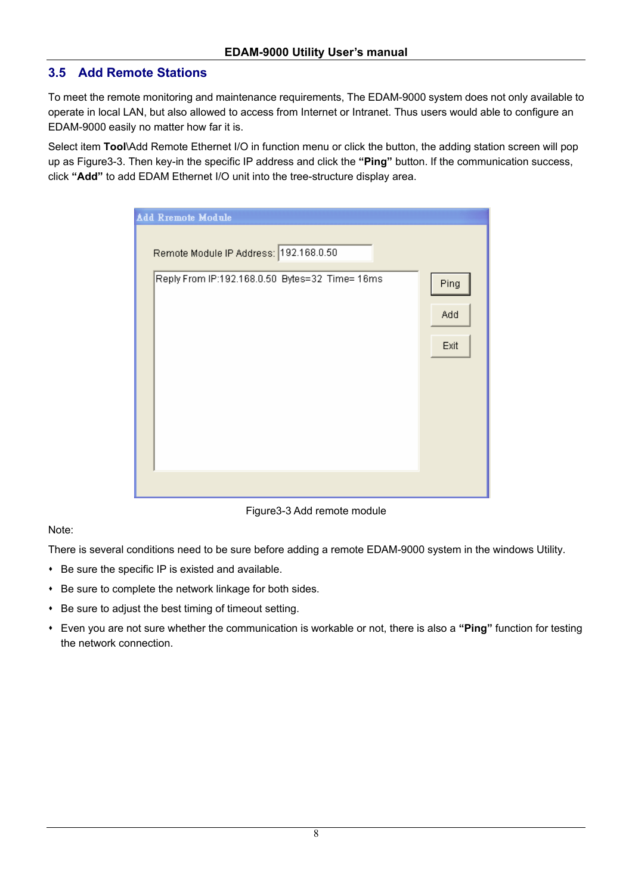## **3.5 Add Remote Stations**

To meet the remote monitoring and maintenance requirements, The EDAM-9000 system does not only available to operate in local LAN, but also allowed to access from Internet or Intranet. Thus users would able to configure an EDAM-9000 easily no matter how far it is.

Select item **Tool**\Add Remote Ethernet I/O in function menu or click the button, the adding station screen will pop up as Figure3-3. Then key-in the specific IP address and click the **"Ping"** button. If the communication success, click **"Add"** to add EDAM Ethernet I/O unit into the tree-structure display area.

| Add Rremote Module                             |      |
|------------------------------------------------|------|
| Remote Module IP Address: 192.168.0.50         |      |
| Reply From IP:192.168.0.50 Bytes=32 Time= 16ms | Ping |
|                                                | Add  |
|                                                | Exit |
|                                                |      |
|                                                |      |
|                                                |      |
|                                                |      |
|                                                |      |

Figure3-3 Add remote module

#### Note:

There is several conditions need to be sure before adding a remote EDAM-9000 system in the windows Utility.

- Be sure the specific IP is existed and available.
- Be sure to complete the network linkage for both sides.
- Be sure to adjust the best timing of timeout setting.
- Even you are not sure whether the communication is workable or not, there is also a **"Ping"** function for testing the network connection.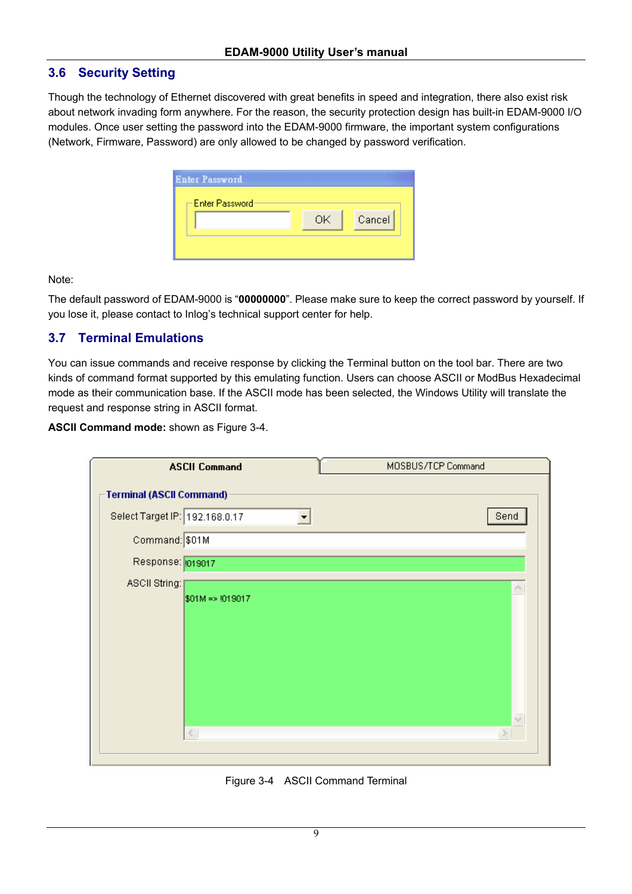#### **3.6 Security Setting**

Though the technology of Ethernet discovered with great benefits in speed and integration, there also exist risk about network invading form anywhere. For the reason, the security protection design has built-in EDAM-9000 I/O modules. Once user setting the password into the EDAM-9000 firmware, the important system configurations (Network, Firmware, Password) are only allowed to be changed by password verification.

| <b>Enter Password</b> |    |        |
|-----------------------|----|--------|
| i⊟ Enter Password-    | OK | Cancel |
|                       |    |        |

Note:

The default password of EDAM-9000 is "**00000000**". Please make sure to keep the correct password by yourself. If you lose it, please contact to Inlog's technical support center for help.

## **3.7 Terminal Emulations**

You can issue commands and receive response by clicking the Terminal button on the tool bar. There are two kinds of command format supported by this emulating function. Users can choose ASCII or ModBus Hexadecimal mode as their communication base. If the ASCII mode has been selected, the Windows Utility will translate the request and response string in ASCII format.

**ASCII Command mode:** shown as Figure 3-4.

|                                 | <b>ASCII Command</b>       | MOSBUS/TCP Command |                    |
|---------------------------------|----------------------------|--------------------|--------------------|
| <b>Terminal (ASCII Command)</b> |                            |                    |                    |
| Select Target IP: 192.168.0.17  |                            |                    | Send               |
| Command: \$01M                  |                            |                    |                    |
| Response: 019017                |                            |                    |                    |
| ASCII String:                   |                            |                    | $\curvearrowright$ |
|                                 | $$01M \Rightarrow 1019017$ |                    |                    |
|                                 |                            |                    |                    |
|                                 |                            |                    |                    |
|                                 |                            |                    |                    |
|                                 |                            |                    |                    |
|                                 |                            |                    | $\vee$             |
| ∢                               |                            |                    |                    |
|                                 |                            |                    |                    |

Figure 3-4 ASCII Command Terminal

9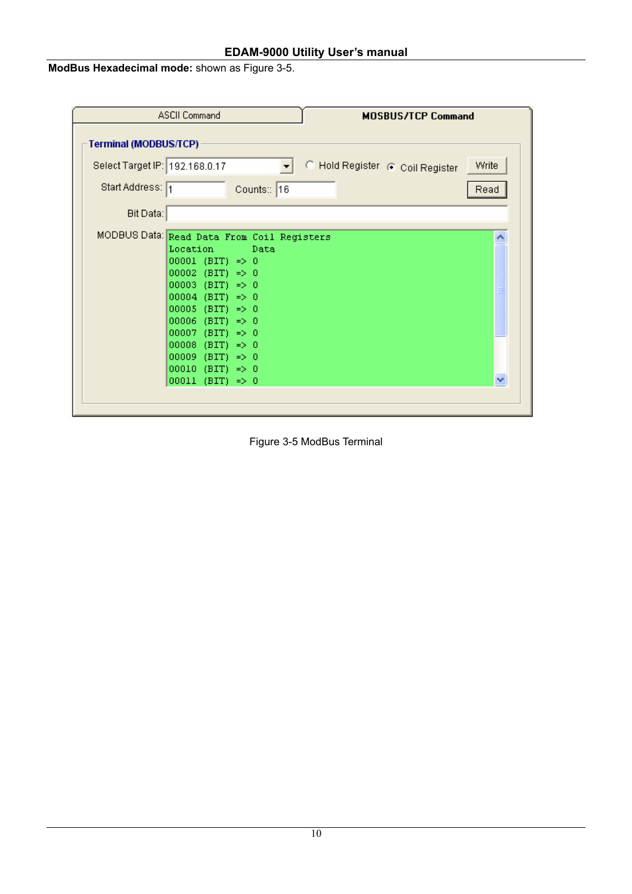**ModBus Hexadecimal mode:** shown as Figure 3-5.

|                                | <b>ASCII Command</b><br><b>MOSBUS/TCP Command</b>                                                                                                                                                                                                                                                                                                                                   |       |
|--------------------------------|-------------------------------------------------------------------------------------------------------------------------------------------------------------------------------------------------------------------------------------------------------------------------------------------------------------------------------------------------------------------------------------|-------|
| Terminal (MODBUS/TCP)          |                                                                                                                                                                                                                                                                                                                                                                                     |       |
| Select Target IP: 192.168.0.17 | C Hold Register @ Coil Register                                                                                                                                                                                                                                                                                                                                                     | Write |
| Start Address: 1               | Counts: 16                                                                                                                                                                                                                                                                                                                                                                          | Read  |
| Bit Data:                      |                                                                                                                                                                                                                                                                                                                                                                                     |       |
|                                | MODBUS Data: Read Data From Coil Registers<br>Location<br>Data<br>$00001$ (BIT) => 0<br>$00002$ (BIT) => 0<br>00003 (BIT) => 0<br>$00004$ (BIT) => 0<br>$00005$ (BIT) => 0<br>00006<br>(BIT)<br>$\Rightarrow 0$<br>00007<br>(BIT)<br>$\Rightarrow 0$<br>00008<br>(BIT)<br>$\Rightarrow 0$<br>00009 (BIT)<br>$\Rightarrow 0$<br>$00010$ (BIT) => 0<br>00011<br>$(BIT) \Rightarrow 0$ |       |

Figure 3-5 ModBus Terminal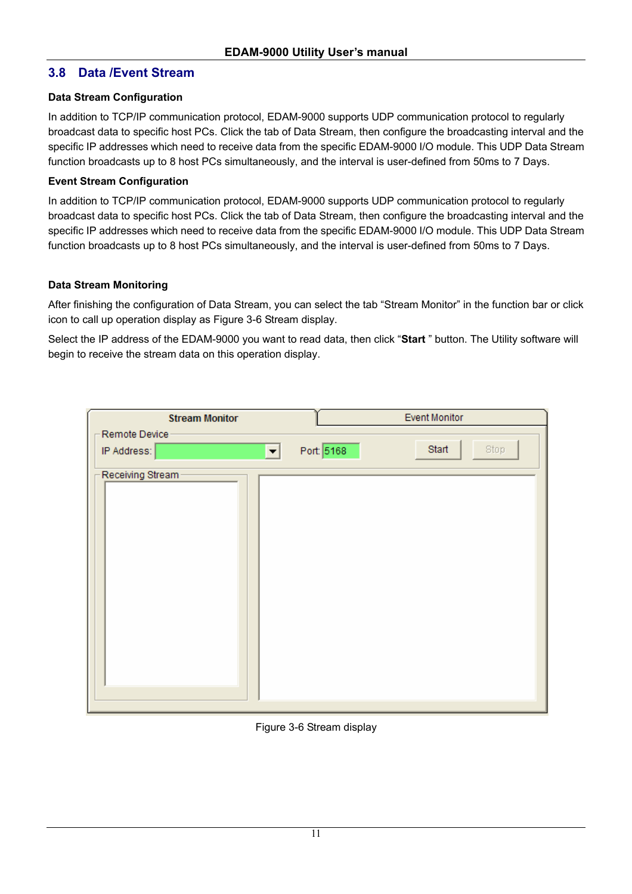## **3.8 Data /Event Stream**

#### **Data Stream Configuration**

In addition to TCP/IP communication protocol, EDAM-9000 supports UDP communication protocol to regularly broadcast data to specific host PCs. Click the tab of Data Stream, then configure the broadcasting interval and the specific IP addresses which need to receive data from the specific EDAM-9000 I/O module. This UDP Data Stream function broadcasts up to 8 host PCs simultaneously, and the interval is user-defined from 50ms to 7 Days.

#### **Event Stream Configuration**

In addition to TCP/IP communication protocol, EDAM-9000 supports UDP communication protocol to regularly broadcast data to specific host PCs. Click the tab of Data Stream, then configure the broadcasting interval and the specific IP addresses which need to receive data from the specific EDAM-9000 I/O module. This UDP Data Stream function broadcasts up to 8 host PCs simultaneously, and the interval is user-defined from 50ms to 7 Days.

#### **Data Stream Monitoring**

After finishing the configuration of Data Stream, you can select the tab "Stream Monitor" in the function bar or click icon to call up operation display as Figure 3-6 Stream display.

Select the IP address of the EDAM-9000 you want to read data, then click "**Start** " button. The Utility software will begin to receive the stream data on this operation display.

| <b>Stream Monitor</b> | <b>Event Monitor</b>        |
|-----------------------|-----------------------------|
| Remote Device         |                             |
| IP Address:<br>▾▏     | Start<br>Port: 5168<br>Stop |
| Receiving Stream      |                             |
|                       |                             |
|                       |                             |
|                       |                             |
|                       |                             |
|                       |                             |
|                       |                             |
|                       |                             |
|                       |                             |

Figure 3-6 Stream display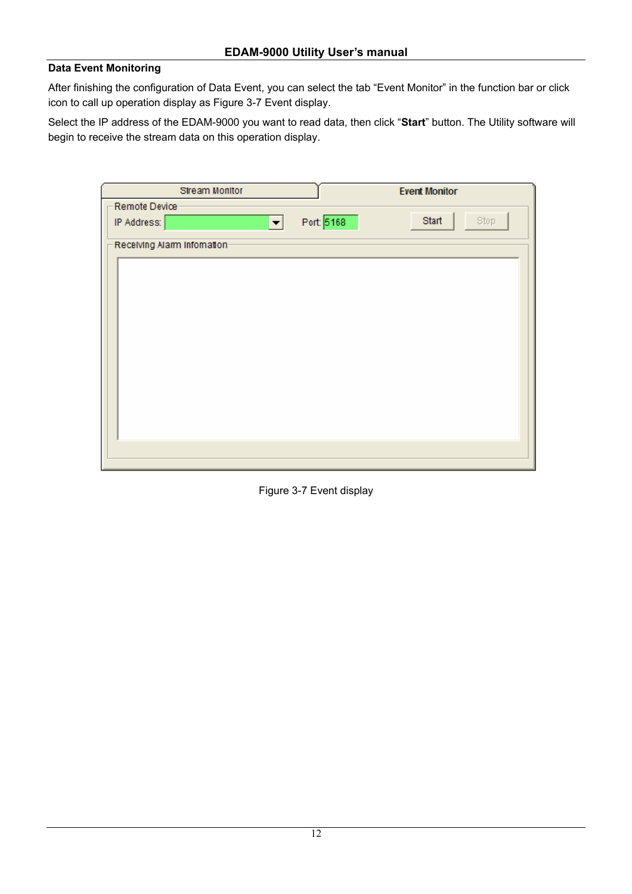#### **Data Event Monitoring**

After finishing the configuration of Data Event, you can select the tab "Event Monitor" in the function bar or click icon to call up operation display as Figure 3-7 Event display.

Select the IP address of the EDAM-9000 you want to read data, then click "**Start**" button. The Utility software will begin to receive the stream data on this operation display.

| Stream Monitor              |            | <b>Event Monitor</b> |
|-----------------------------|------------|----------------------|
| Remote Device               |            |                      |
| IP Address:<br>┳            | Port: 5168 | <b>Start</b><br>Stop |
| Receiving Alarm Information |            |                      |
|                             |            |                      |
|                             |            |                      |
|                             |            |                      |
|                             |            |                      |
|                             |            |                      |
|                             |            |                      |
|                             |            |                      |
|                             |            |                      |
|                             |            |                      |
|                             |            |                      |
|                             |            |                      |
|                             |            |                      |
|                             |            |                      |

Figure 3-7 Event display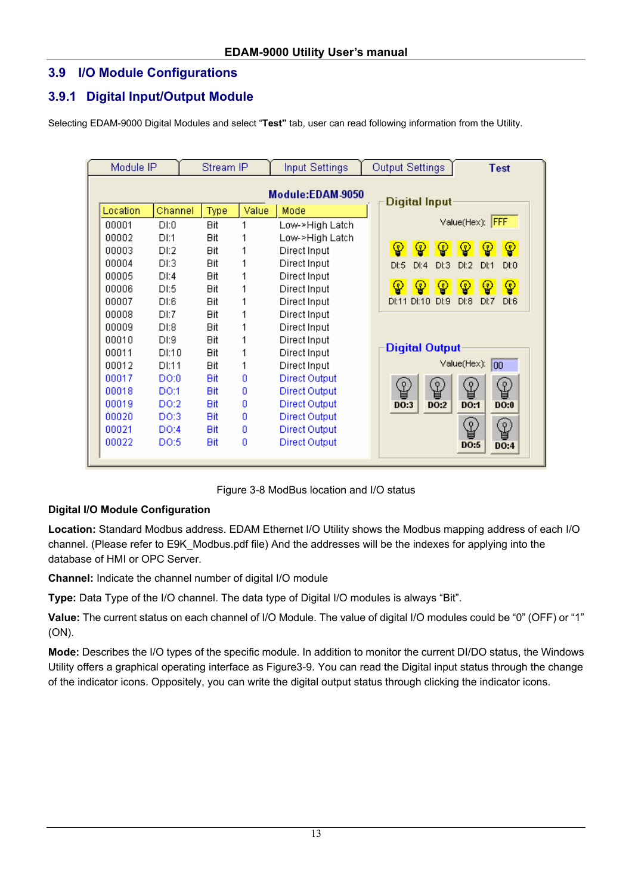## **3.9 I/O Module Configurations**

## **3.9.1 Digital Input/Output Module**

Selecting EDAM-9000 Digital Modules and select "**Test"** tab, user can read following information from the Utility.

| Module IP<br>Stream IP |          | <b>Input Settings</b> | Output Settings<br><b>Test</b> |       |                      |                                              |
|------------------------|----------|-----------------------|--------------------------------|-------|----------------------|----------------------------------------------|
|                        |          |                       |                                |       | Module:EDAM-9050     |                                              |
|                        | Location | Channel               | Type                           | Value | Mode                 | Digital Input                                |
|                        | 00001    | DI:0                  | <b>Bit</b>                     | 1     | Low->High Latch      | Value(Hex): FFF                              |
|                        | 00002    | DI:1                  | <b>Bit</b>                     |       | Low->High Latch      |                                              |
|                        | 00003    | DI:2                  | <b>Bit</b>                     |       | Direct Input         | ⊕<br>♔<br>♔<br>Φ<br>φ<br>φ                   |
|                        | 00004    | DI:3                  | <b>Bit</b>                     |       | Direct Input         | D 1:4<br>Dt3<br>Dt2<br>Dt:5<br>Dt1<br>DL0    |
|                        | 00005    | DI:4                  | <b>Ait</b>                     |       | Direct Input         |                                              |
|                        | 00006    | DI:5                  | <b>Bit</b>                     | 1     | Direct Input         | စ္န<br>φ<br>φ<br>φ<br>φ<br>ၦ                 |
|                        | 00007    | DI:6                  | <b>Bit</b>                     |       | Direct Input         | D 1:8<br>DI:11 DI:10<br>Df:9<br>DI:7<br>D1:6 |
|                        | 00008    | DE7                   | <b>Bit</b>                     | 1     | Direct Input         |                                              |
|                        | 00009    | DI:8                  | <b>Bit</b>                     |       | Direct Input         |                                              |
|                        | 00010    | DI:9                  | <b>Bit</b>                     | 1     | Direct Input         | Digital Output                               |
|                        | 00011    | DI:10.                | <b>Bit</b>                     | 1     | Direct Input         |                                              |
|                        | 00012    | DI:11                 | <b>Bit</b>                     | 1     | Direct Input         | Value(Hex):<br>100                           |
|                        | 00017    | DO:0                  | <b>Bit</b>                     | o     | Direct Output        |                                              |
|                        | 00018    | DO:1                  | <b>Bit</b>                     | 0     | Direct Output        | ♔<br>県<br>県<br>≌<br>입                        |
|                        | 00019    | DO:2                  | <b>Bit</b>                     | o     | Direct Output        | DO:3<br><b>DO:2</b><br><b>DO:1</b><br>DO:0   |
|                        | 00020    | DO:3                  | Bit                            | o     | Direct Output        |                                              |
|                        | 00021    | DO:4                  | <b>Bit</b>                     | 0     | <b>Direct Output</b> | ७<br>♔                                       |
|                        | 00022    | DO:5                  | Bit                            | 0     | Direct Output        | DO:5<br>DO:4                                 |

Figure 3-8 ModBus location and I/O status

## **Digital I/O Module Configuration**

**Location:** Standard Modbus address. EDAM Ethernet I/O Utility shows the Modbus mapping address of each I/O channel. (Please refer to E9K\_Modbus.pdf file) And the addresses will be the indexes for applying into the database of HMI or OPC Server.

**Channel:** Indicate the channel number of digital I/O module

**Type:** Data Type of the I/O channel. The data type of Digital I/O modules is always "Bit".

**Value:** The current status on each channel of I/O Module. The value of digital I/O modules could be "0" (OFF) or "1" (ON).

**Mode:** Describes the I/O types of the specific module. In addition to monitor the current DI/DO status, the Windows Utility offers a graphical operating interface as Figure3-9. You can read the Digital input status through the change of the indicator icons. Oppositely, you can write the digital output status through clicking the indicator icons.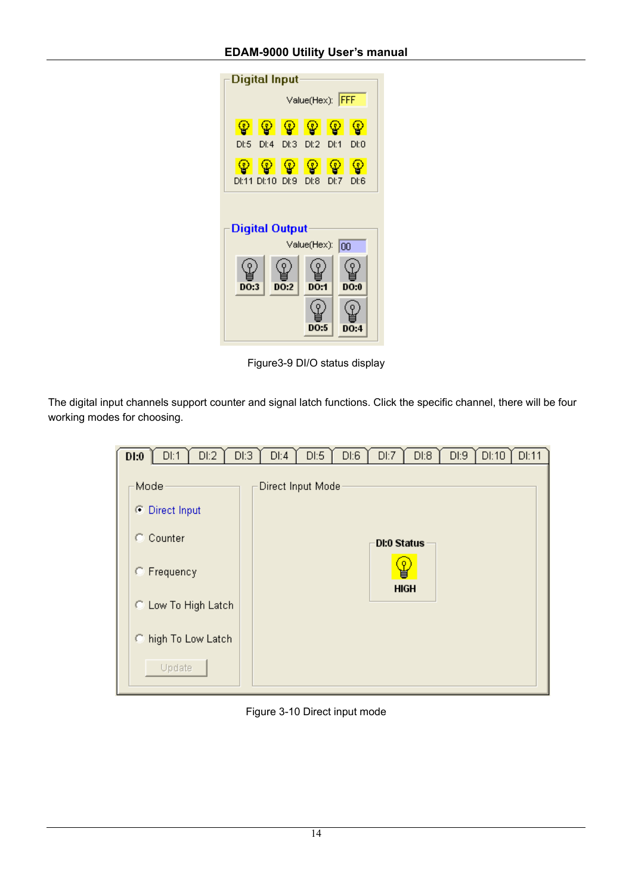| <b>Digital Input</b>                        |                              |   |   |   |      |  |  |  |  |  |
|---------------------------------------------|------------------------------|---|---|---|------|--|--|--|--|--|
| Value(Hex): FFF                             |                              |   |   |   |      |  |  |  |  |  |
| Ģ.                                          | φ                            | ഴ | ഴ | φ | J,   |  |  |  |  |  |
| D:5                                         | DI:4 DI:3 DI:2 DI:1          |   |   |   | Df:0 |  |  |  |  |  |
|                                             |                              |   |   |   |      |  |  |  |  |  |
|                                             | DI:11 DI:10 DI:9 DI:8 DI:7   |   |   |   | Df:6 |  |  |  |  |  |
| <b>Digital Output</b><br>Value(Hex):<br>100 |                              |   |   |   |      |  |  |  |  |  |
|                                             | DO:1<br>DO 0<br>DO 2<br>DO 3 |   |   |   |      |  |  |  |  |  |
|                                             |                              |   |   |   |      |  |  |  |  |  |

Figure3-9 DI/O status display

The digital input channels support counter and signal latch functions. Click the specific channel, there will be four working modes for choosing.

| D1:0 | DI:1                | D I:2 | D I:3 | DI:4              | $D \, E5$ | $D$ :6 | DI:7        | $D$ :8            | DI:9 | DI:10 | DI:11 |
|------|---------------------|-------|-------|-------------------|-----------|--------|-------------|-------------------|------|-------|-------|
| Mode |                     |       |       | Direct Input Mode |           |        |             |                   |      |       |       |
|      | C Direct Input      |       |       |                   |           |        |             |                   |      |       |       |
|      | C Counter           |       |       |                   |           |        | DI:0 Status |                   |      |       |       |
|      | C Frequency         |       |       |                   |           |        |             | φ.<br><b>HIGH</b> |      |       |       |
|      | C Low To High Latch |       |       |                   |           |        |             |                   |      |       |       |
|      | C high To Low Latch |       |       |                   |           |        |             |                   |      |       |       |
|      | Update              |       |       |                   |           |        |             |                   |      |       |       |

Figure 3-10 Direct input mode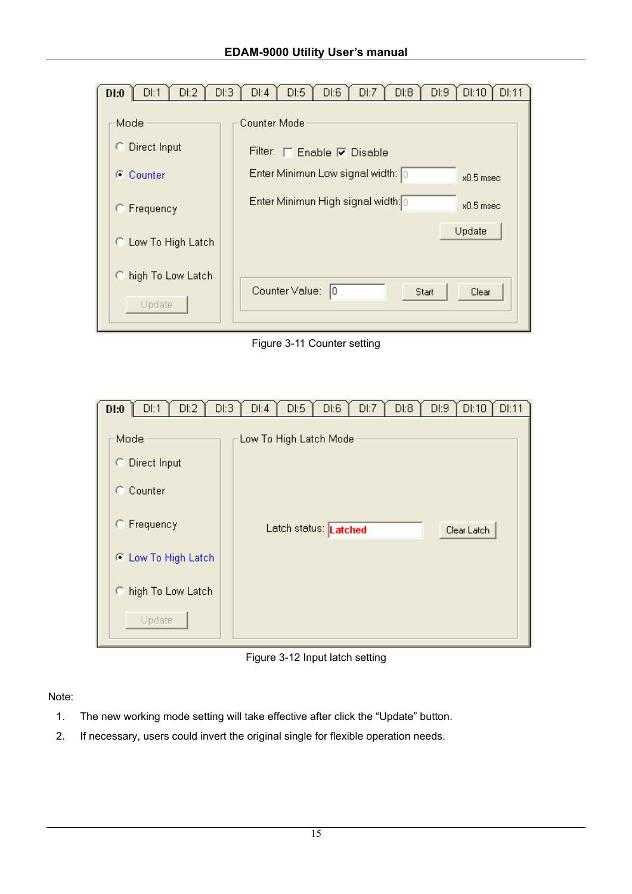

Figure 3-11 Counter setting

| D1:0 | DI:1                        | D I:2 | D I:3 | DI:4                   | D1:5                  | DI:6 | DI:7 | D I:8 | D I:9 | DI:10       | DI:11 |
|------|-----------------------------|-------|-------|------------------------|-----------------------|------|------|-------|-------|-------------|-------|
| Mode |                             |       |       | Low To High Latch Mode |                       |      |      |       |       |             |       |
|      | C Direct Input<br>C Counter |       |       |                        |                       |      |      |       |       |             |       |
|      | C Frequency                 |       |       |                        | Latch status: Latched |      |      |       |       | Clear Latch |       |
|      | C Low To High Latch         |       |       |                        |                       |      |      |       |       |             |       |
|      | C high To Low Latch         |       |       |                        |                       |      |      |       |       |             |       |
|      | Update                      |       |       |                        |                       |      |      |       |       |             |       |

Figure 3-12 Input latch setting

Note:

- 1. The new working mode setting will take effective after click the "Update" button.
- 2. If necessary, users could invert the original single for flexible operation needs.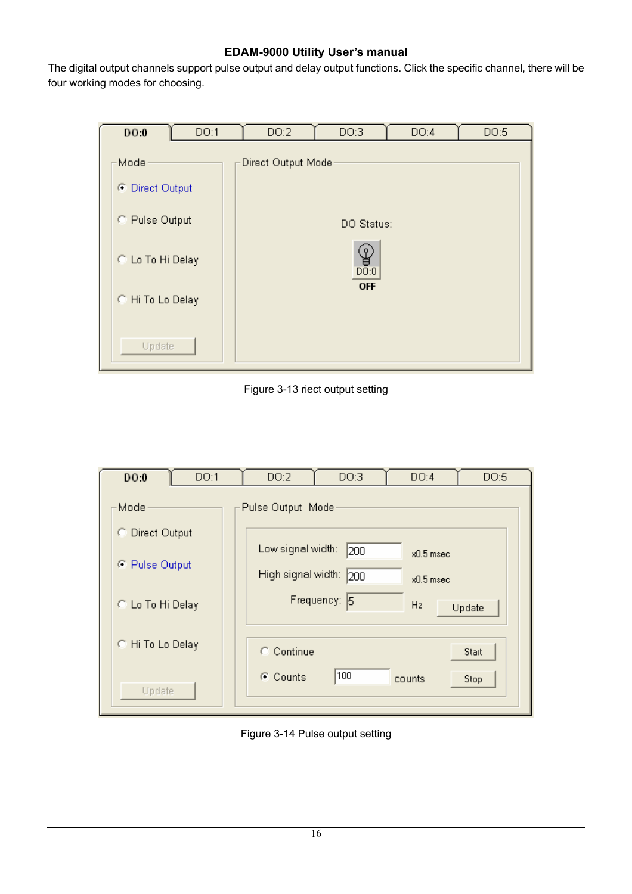The digital output channels support pulse output and delay output functions. Click the specific channel, there will be four working modes for choosing.

| D <sub>0</sub>                                                                               | DO:1 | DO:2               | DO:3                                              | DO:4 | DO:5 |
|----------------------------------------------------------------------------------------------|------|--------------------|---------------------------------------------------|------|------|
| Mode<br>⊙ Direct Output<br>C Pulse Output<br>C Lo To Hi Delay<br>C. Hi To Lo Delay<br>Update |      | Direct Output Mode | DO Status:<br>$\mathcal{G}$<br>DO:0<br><b>OFF</b> |      |      |

Figure 3-13 riect output setting

| DO:1<br>DO:0              | DO:2              | DO:3                                      | DO:4   | DO:5   |  |  |  |
|---------------------------|-------------------|-------------------------------------------|--------|--------|--|--|--|
| Mode                      | Pulse Output Mode |                                           |        |        |  |  |  |
| C Direct Output           |                   |                                           |        |        |  |  |  |
|                           |                   | Low signal width:<br>200<br>$x0.5$ msec.  |        |        |  |  |  |
| C Pulse Output            |                   | High signal width:<br>200<br>$x0.5$ msec. |        |        |  |  |  |
| C. Lo To Hi Delay         |                   | Frequency: 5                              | Hz.    | Update |  |  |  |
| $\bigcirc$ Hi To Lo Delay | C Continue        |                                           |        | Start  |  |  |  |
| Update                    | C Counts          | 100                                       | counts | Stop   |  |  |  |

Figure 3-14 Pulse output setting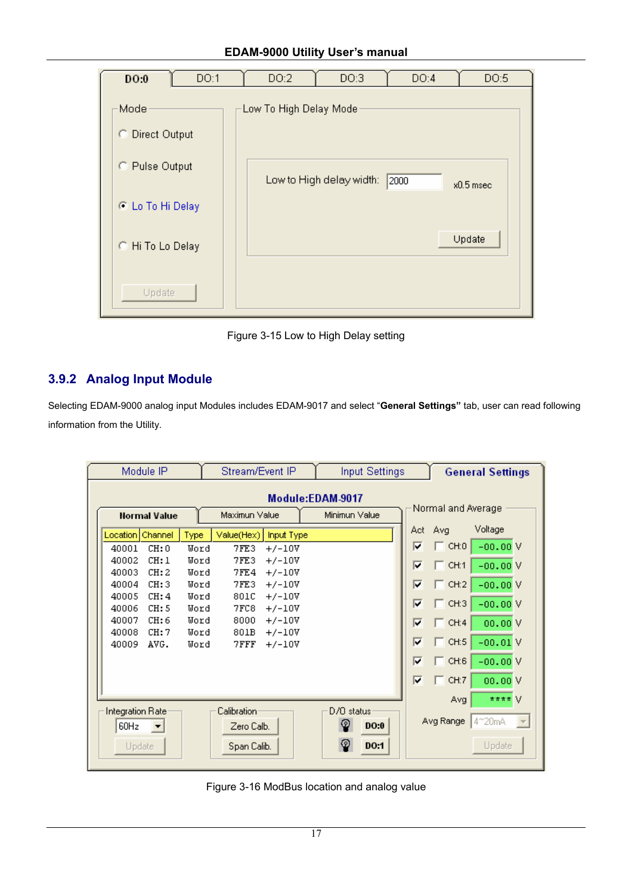| DO:1<br>DO:0                          | DO:2<br>DO:3<br>DO:4<br>DO:5                     |
|---------------------------------------|--------------------------------------------------|
| Mode<br>C Direct Output               | Low To High Delay Mode                           |
| C Pulse Output                        | Low to High delay width:<br>2000<br>$x0.5$ msec. |
| C Lo To Hi Delay<br>C. Hi To Lo Delay | Update                                           |
| Update                                |                                                  |



# **3.9.2 Analog Input Module**

Selecting EDAM-9000 analog input Modules includes EDAM-9017 and select "**General Settings"** tab, user can read following information from the Utility.

| Module IP           |                                                                                                                                                   |              |               | Stream/Event IP |                      |            | <b>Input Settings</b> |             |            | <b>General Settings</b> |  |  |
|---------------------|---------------------------------------------------------------------------------------------------------------------------------------------------|--------------|---------------|-----------------|----------------------|------------|-----------------------|-------------|------------|-------------------------|--|--|
|                     | Module:EDAM-9017<br>Normal and Average                                                                                                            |              |               |                 |                      |            |                       |             |            |                         |  |  |
| <b>Normal Value</b> |                                                                                                                                                   |              | Maximun Value |                 | Minimun Value        |            |                       |             |            |                         |  |  |
|                     | Location                                                                                                                                          | Channel      | Type          | Value(Hex)      | Input Type           |            | Act                   | Avg         | Voltage    |                         |  |  |
|                     | 40001                                                                                                                                             | CH:0         | Word          | 7FE3            | $+/-10V$             |            | ⊽                     | CH:0        | $-00.00V$  |                         |  |  |
|                     | 40002<br>40003                                                                                                                                    | CH:1<br>CH:2 | Word<br>Word  | 7FE3<br>7FE4    | $+/-10V$<br>$+/-10V$ |            | ╔                     | $\Box$ CH:1 | $-00,00$ V |                         |  |  |
|                     | 40004                                                                                                                                             | CH:3         | Word          | 7FE3            | $+/-10V$             |            | ┍                     | $\Box$ CH:2 | $-00.00V$  |                         |  |  |
|                     | 40005                                                                                                                                             | CH:4         | Word          | 801C            | $+/-10V$             |            | ╔                     | $\Box$ CH:3 | $-00.00V$  |                         |  |  |
|                     | 40006<br>40007                                                                                                                                    | CH:5<br>CH:6 | Word<br>Word  | 7FC8<br>8000    | $+/-10V$             |            |                       |             |            |                         |  |  |
|                     | 40008                                                                                                                                             | CH:7         | Word          | 801B            | $+/-10V$<br>$+/-10V$ |            | г                     | $\Box$ CH:4 | 00.00V     |                         |  |  |
|                     | 40009                                                                                                                                             | AVG.         | Word          | 7FFF            | $+/-10V$             |            | ╔                     | $\Box$ CH:5 | $-00.01V$  |                         |  |  |
|                     |                                                                                                                                                   |              |               |                 |                      |            | ╔                     | $\Box$ CH:6 | $-00.00V$  |                         |  |  |
|                     |                                                                                                                                                   |              |               |                 |                      |            | ⊽                     | CH:7        | 00.00V     |                         |  |  |
|                     |                                                                                                                                                   |              |               |                 |                      |            |                       | Avg         | **** V     |                         |  |  |
|                     | Integration Rate<br>${\sf California}$<br>D/O status<br>Avg Range<br>4~20mA<br>ଢ<br><b>DO:0</b><br>60Hz<br>Zero Calb.<br>$\overline{\phantom{a}}$ |              |               |                 |                      |            |                       |             |            |                         |  |  |
|                     | Update                                                                                                                                            |              |               | Span Calib.     |                      | ଢ଼<br>DO:1 |                       |             | Update     |                         |  |  |

Figure 3-16 ModBus location and analog value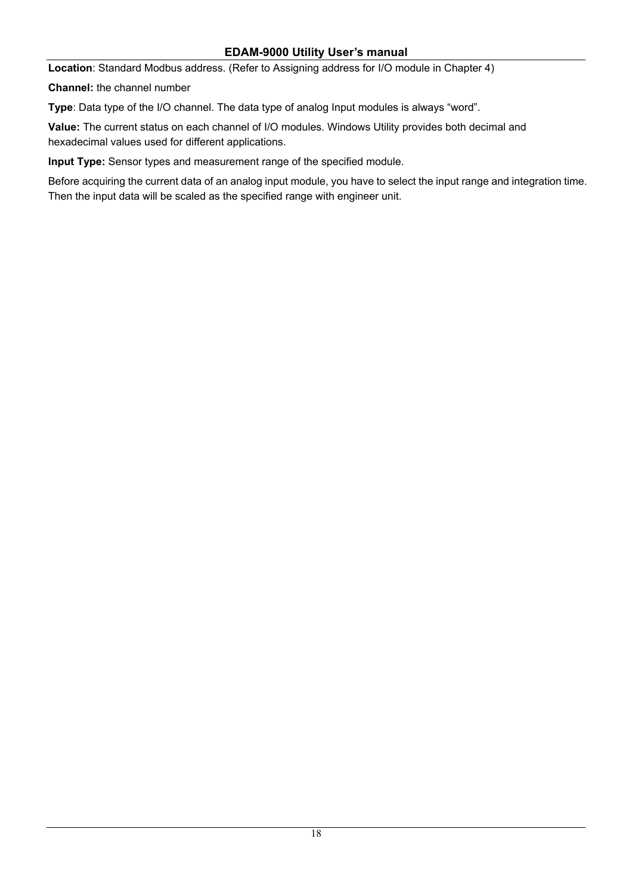**Location**: Standard Modbus address. (Refer to Assigning address for I/O module in Chapter 4)

**Channel:** the channel number

**Type**: Data type of the I/O channel. The data type of analog Input modules is always "word".

**Value:** The current status on each channel of I/O modules. Windows Utility provides both decimal and hexadecimal values used for different applications.

**Input Type:** Sensor types and measurement range of the specified module.

Before acquiring the current data of an analog input module, you have to select the input range and integration time. Then the input data will be scaled as the specified range with engineer unit.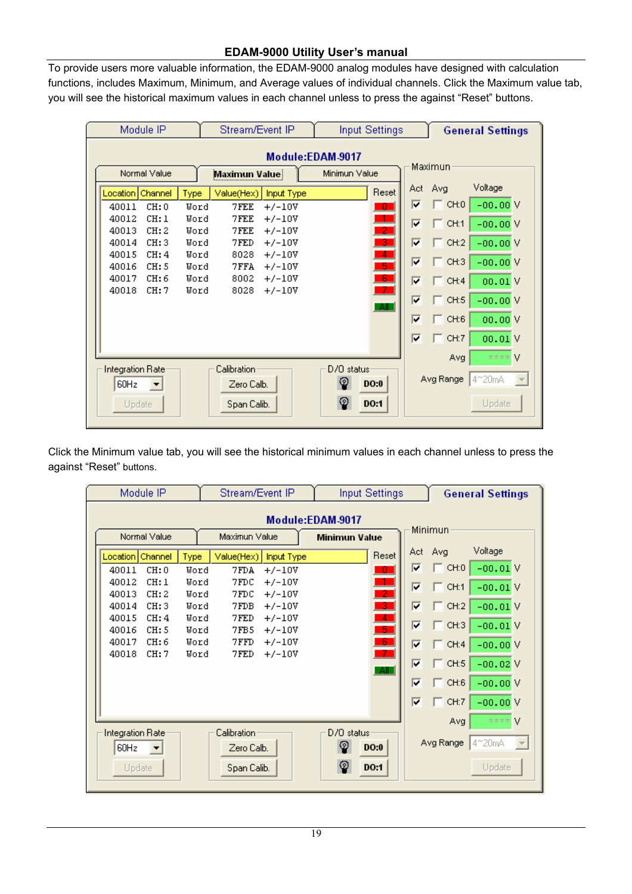To provide users more valuable information, the EDAM-9000 analog modules have designed with calculation functions, includes Maximum, Minimum, and Average values of individual channels. Click the Maximum value tab, you will see the historical maximum values in each channel unless to press the against "Reset" buttons.

|  | Module IP                                       | Stream/Event IP                      | <b>Input Settings</b>       | <b>General Settings</b>    |  |
|--|-------------------------------------------------|--------------------------------------|-----------------------------|----------------------------|--|
|  |                                                 |                                      | Module:EDAM-9017            |                            |  |
|  | Normal Value                                    | Maximun Value                        | Minimun Value               | Maximun                    |  |
|  | Location  <br>Channel<br>Type                   | Value(Hex)<br>Input Type             | Act.<br>Reset               | Voltage<br>Avg             |  |
|  | 40011<br>CH:0<br>Word                           | 7FEE<br>$+/-10V$                     | ╔<br>D,                     | $-00.00V$<br>CH:0          |  |
|  | 40012<br>CH:1<br>Word                           | 7FEE<br>$+/-10V$                     | $\frac{1}{2}$<br>╔          | $\Box$ CH:1<br>$-00.00V$   |  |
|  | 40013<br>CH:2<br>Word<br>40014<br>CH:3<br>Word  | 7FEE<br>$+/-10V$<br>7FED<br>$+/-10V$ | -31<br>╔                    | $\Box$ CH:2<br>$-00.00V$   |  |
|  | 40015<br>CH:4<br>Word                           | 8028<br>$+/-10V$                     | $\blacktriangleleft$<br>╔   | $\Box$ CH:3<br>$-00.00V$   |  |
|  | 40016<br>CH:5<br>Word                           | 7FFA<br>$+/-10V$                     | -51                         |                            |  |
|  | 40017<br>CH:6<br>Word<br>40018<br>CH:7<br>Word  | 8002<br>$+/-10V$<br>8028<br>$+/-10V$ | $\blacksquare$<br>г<br>$-7$ | $\Box$ CH:4<br>00.01V      |  |
|  |                                                 |                                      | ╔<br>-All-                  | $\equiv$ CH:5<br>$-00.00V$ |  |
|  |                                                 |                                      | ╔                           | $\sqcap$ CH:6<br>00.00 V   |  |
|  |                                                 |                                      | ⊽                           | CH:7<br>00.01V             |  |
|  | Integration Rate                                | Calibration:                         | D/O status:                 | v<br>Avg<br>****           |  |
|  | Avg Range<br>4~20mA<br>$\overline{\phantom{m}}$ |                                      |                             |                            |  |
|  | $\blacktriangledown$<br>Update                  | Span Calib.                          | စ္စ<br>DO:1                 | Update                     |  |
|  |                                                 |                                      |                             |                            |  |

Click the Minimum value tab, you will see the historical minimum values in each channel unless to press the against "Reset" buttons.

| Module IP |                                                  |              | Stream/Event IP           |                      |                 | <b>Input Settings</b> |                         |               | <b>General Settings</b> |  |  |
|-----------|--------------------------------------------------|--------------|---------------------------|----------------------|-----------------|-----------------------|-------------------------|---------------|-------------------------|--|--|
|           | Module:EDAM-9017<br>Minimun                      |              |                           |                      |                 |                       |                         |               |                         |  |  |
|           | Normal Value                                     |              | Maximun Value             |                      |                 | <b>Minimun Value</b>  |                         |               |                         |  |  |
|           | Channel<br><b>Location</b>                       | Type         | Value(Hex)                | Input Type           |                 | Reset                 | Act:                    | Avg           | Voltage                 |  |  |
|           | 40011<br>CH:0                                    | Word         | 7FDA                      | $+/-10V$             |                 | - 0                   | ⊽                       | CH:0          | $-00.01V$               |  |  |
|           | 40012<br>CH:1                                    | Word         | 7FDC                      | $+/-10V$             |                 | $\frac{1}{2}$         | ⊽                       | CH:1          | $-00.01V$               |  |  |
|           | 40013<br>CH:2<br>40014<br>CH:3                   | Word<br>Word | 7FDC<br>7FDB              | $+/-10V$<br>$+/-10V$ |                 | 3.                    | ╔                       | $\Box$ CH:2   | $-00.01V$               |  |  |
|           | 40015<br>CH:4                                    | Word         | 7FED                      | $+/-10V$             |                 | $\overline{4}$        | $\overline{\mathbf{v}}$ |               |                         |  |  |
|           | 40016<br>CH:5                                    | Word         | 7FB5                      | $+/-10V$             |                 | -51                   |                         | CH:3          | $-00.01V$               |  |  |
|           | 40017<br>CH:6<br>40018<br>CH:7                   | Word<br>Word | 7FFD<br>7FED              | $+/-10V$<br>$+/-10V$ |                 | -6.<br>-7             | г                       | CH:4          | $-00.00V$               |  |  |
|           |                                                  |              |                           |                      |                 | <b>AII</b>            | ╔                       | $\equiv$ CH:5 | $-00.02V$               |  |  |
|           |                                                  |              |                           |                      |                 |                       | г                       | CH:6          | $-00.00V$               |  |  |
|           |                                                  |              |                           |                      |                 |                       | ╔                       | CH:7          | $-00.00V$               |  |  |
|           |                                                  |              |                           |                      |                 |                       |                         | Avg           | カカカカー                   |  |  |
|           | Integration Rate<br>60Hz<br>$\blacktriangledown$ |              | Calibration<br>Zero Calb. |                      | D/O status<br>စ | DO:0                  |                         | Avg Range     | 4~20mA                  |  |  |
|           | Update                                           |              | Span Calib.               |                      | စ               | <b>DO:1</b>           |                         |               | Update                  |  |  |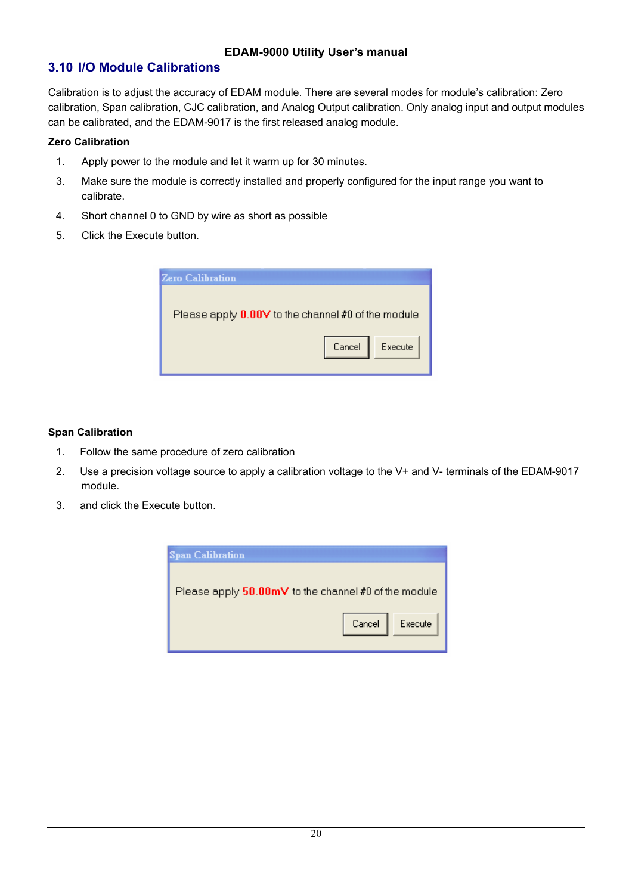## **3.10 I/O Module Calibrations**

Calibration is to adjust the accuracy of EDAM module. There are several modes for module's calibration: Zero calibration, Span calibration, CJC calibration, and Analog Output calibration. Only analog input and output modules can be calibrated, and the EDAM-9017 is the first released analog module.

#### **Zero Calibration**

- 1. Apply power to the module and let it warm up for 30 minutes.
- 3. Make sure the module is correctly installed and properly configured for the input range you want to calibrate.
- 4. Short channel 0 to GND by wire as short as possible
- 5. Click the Execute button.

| <b>Zero Calibration</b>                            |
|----------------------------------------------------|
|                                                    |
| Please apply 0.00V to the channel #0 of the module |
|                                                    |
| Cancel<br>Execute                                  |
|                                                    |

#### **Span Calibration**

- 1. Follow the same procedure of zero calibration
- 2. Use a precision voltage source to apply a calibration voltage to the V+ and V- terminals of the EDAM-9017 module.
- 3. and click the Execute button.